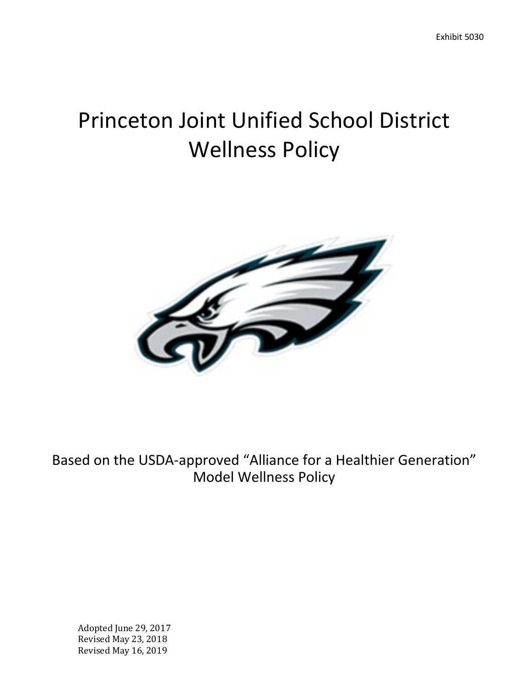# Princeton Joint Unified School District Wellness Policy



Based on the USDA-approved "Alliance for a Healthier Generation" Model Wellness Policy

Adopted June 29, 2017 Revised May 23, 2018 Revised May 16, 2019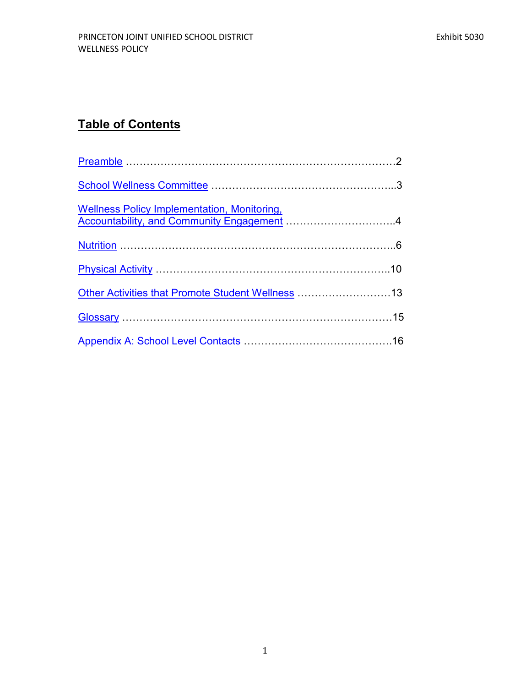# **Table of Contents**

| Wellness Policy Implementation, Monitoring,<br>Accountability, and Community Engagement 4 |  |
|-------------------------------------------------------------------------------------------|--|
|                                                                                           |  |
|                                                                                           |  |
| Other Activities that Promote Student Wellness 13                                         |  |
|                                                                                           |  |
|                                                                                           |  |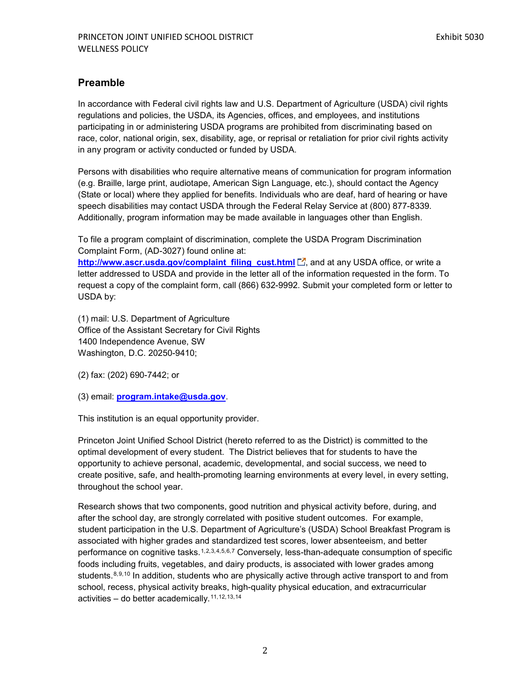# <span id="page-2-0"></span>**Preamble**

In accordance with Federal civil rights law and U.S. Department of Agriculture (USDA) civil rights regulations and policies, the USDA, its Agencies, offices, and employees, and institutions participating in or administering USDA programs are prohibited from discriminating based on race, color, national origin, sex, disability, age, or reprisal or retaliation for prior civil rights activity in any program or activity conducted or funded by USDA.

Persons with disabilities who require alternative means of communication for program information (e.g. Braille, large print, audiotape, American Sign Language, etc.), should contact the Agency (State or local) where they applied for benefits. Individuals who are deaf, hard of hearing or have speech disabilities may contact USDA through the Federal Relay Service at (800) 877-8339. Additionally, program information may be made available in languages other than English.

<span id="page-2-1"></span>To file a program complaint of discrimination, complete the USDA Program Discrimination Complaint Form, (AD-3027) found online at:

<span id="page-2-4"></span><span id="page-2-3"></span><span id="page-2-2"></span>[http://www.ascr.usda.gov/complaint\\_filing\\_cust.html](http://www.ascr.usda.gov/complaint_filing_cust.html)  $\Box$ , and at any USDA office, or write a letter addressed to USDA and provide in the letter all of the information requested in the form. To request a copy of the complaint form, call (866) 632-9992. Submit your completed form or letter to USDA by:

<span id="page-2-6"></span><span id="page-2-5"></span>(1) mail: U.S. Department of Agriculture Office of the Assistant Secretary for Civil Rights 1400 Independence Avenue, SW Washington, D.C. 20250-9410;

<span id="page-2-8"></span><span id="page-2-7"></span>(2) fax: (202) 690-7442; or

<span id="page-2-10"></span><span id="page-2-9"></span>(3) email: **[program.intake@usda.gov](mailto:program.intake@usda.gov)**.

<span id="page-2-11"></span>This institution is an equal opportunity provider.

<span id="page-2-13"></span><span id="page-2-12"></span>Princeton Joint Unified School District (hereto referred to as the District) is committed to the optimal development of every student. The District believes that for students to have the opportunity to achieve personal, academic, developmental, and social success, we need to create positive, safe, and health-promoting learning environments at every level, in every setting, throughout the school year.

<span id="page-2-14"></span>Research shows that two components, good nutrition and physical activity before, during, and after the school day, are strongly correlated with positive student outcomes. For example, student participation in the U.S. Department of Agriculture's (USDA) School Breakfast Program is associated with higher grades and standardized test scores, lower absenteeism, and better performance on cognitive tasks.<sup>[1](#page-2-1),[2](#page-2-2)[,3](#page-2-3),[4](#page-2-4),[5,](#page-2-5)[6,](#page-2-6)[7](#page-2-7)</sup> Conversely, less-than-adequate consumption of specific foods including fruits, vegetables, and dairy products, is associated with lower grades among students.<sup>[8,](#page-2-8)[9,](#page-2-9)[10](#page-2-10)</sup> In addition, students who are physically active through active transport to and from school, recess, physical activity breaks, high-quality physical education, and extracurricular activities – do better academically.[11,](#page-2-11)[12](#page-2-12),[13](#page-2-13),[14](#page-2-14)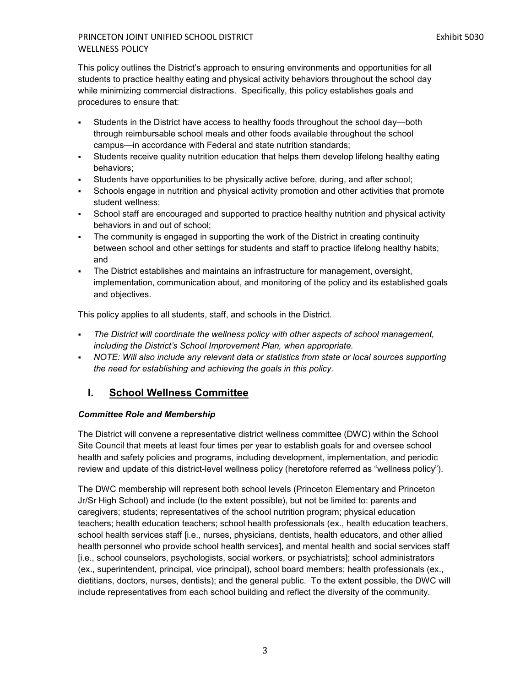This policy outlines the District's approach to ensuring environments and opportunities for all students to practice healthy eating and physical activity behaviors throughout the school day while minimizing commercial distractions. Specifically, this policy establishes goals and procedures to ensure that:

- Students in the District have access to healthy foods throughout the school day—both through reimbursable school meals and other foods available throughout the school campus—in accordance with Federal and state nutrition standards;
- Students receive quality nutrition education that helps them develop lifelong healthy eating behaviors;
- Students have opportunities to be physically active before, during, and after school;
- Schools engage in nutrition and physical activity promotion and other activities that promote student wellness;
- School staff are encouraged and supported to practice healthy nutrition and physical activity behaviors in and out of school;
- The community is engaged in supporting the work of the District in creating continuity between school and other settings for students and staff to practice lifelong healthy habits; and
- The District establishes and maintains an infrastructure for management, oversight, implementation, communication about, and monitoring of the policy and its established goals and objectives.

This policy applies to all students, staff, and schools in the District.

- *The District will coordinate the wellness policy with other aspects of school management, including the District's School Improvement Plan, when appropriate.*
- **NOTE: Will also include any relevant data or statistics from state or local sources supporting** *the need for establishing and achieving the goals in this policy.*

# <span id="page-3-0"></span>**I. School Wellness Committee**

# *Committee Role and Membership*

The District will convene a representative district wellness committee (DWC) within the School Site Council that meets at least four times per year to establish goals for and oversee school health and safety policies and programs, including development, implementation, and periodic review and update of this district-level wellness policy (heretofore referred as "wellness policy").

The DWC membership will represent both school levels (Princeton Elementary and Princeton Jr/Sr High School) and include (to the extent possible), but not be limited to: parents and caregivers; students; representatives of the school nutrition program; physical education teachers; health education teachers; school health professionals (ex., health education teachers, school health services staff [i.e., nurses, physicians, dentists, health educators, and other allied health personnel who provide school health services], and mental health and social services staff [i.e., school counselors, psychologists, social workers, or psychiatrists]; school administrators (ex., superintendent, principal, vice principal), school board members; health professionals (ex., dietitians, doctors, nurses, dentists); and the general public. To the extent possible, the DWC will include representatives from each school building and reflect the diversity of the community.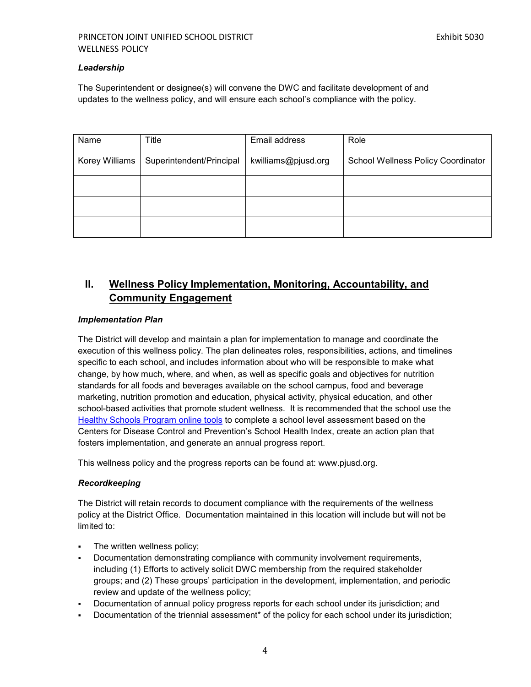#### *Leadership*

The Superintendent or designee(s) will convene the DWC and facilitate development of and updates to the wellness policy, and will ensure each school's compliance with the policy.

| Name           | Title                    | Email address       | Role                               |
|----------------|--------------------------|---------------------|------------------------------------|
| Korey Williams | Superintendent/Principal | kwilliams@pjusd.org | School Wellness Policy Coordinator |
|                |                          |                     |                                    |
|                |                          |                     |                                    |
|                |                          |                     |                                    |

# <span id="page-4-0"></span>**II. Wellness Policy Implementation, Monitoring, Accountability, and Community Engagement**

#### *Implementation Plan*

The District will develop and maintain a plan for implementation to manage and coordinate the execution of this wellness policy. The plan delineates roles, responsibilities, actions, and timelines specific to each school, and includes information about who will be responsible to make what change, by how much, where, and when, as well as specific goals and objectives for nutrition standards for all foods and beverages available on the school campus, food and beverage marketing, nutrition promotion and education, physical activity, physical education, and other school-based activities that promote student wellness. It is recommended that the school use the [Healthy Schools Program online tools](http://www.schools.healthiergeneration.org/) to complete a school level assessment based on the Centers for Disease Control and Prevention's School Health Index, create an action plan that fosters implementation, and generate an annual progress report.

This wellness policy and the progress reports can be found at: www.pjusd.org.

#### *Recordkeeping*

The District will retain records to document compliance with the requirements of the wellness policy at the District Office. Documentation maintained in this location will include but will not be limited to:

- **The written wellness policy;**
- Documentation demonstrating compliance with community involvement requirements, including (1) Efforts to actively solicit DWC membership from the required stakeholder groups; and (2) These groups' participation in the development, implementation, and periodic review and update of the wellness policy;
- Documentation of annual policy progress reports for each school under its jurisdiction; and
- Documentation of the triennial assessment\* of the policy for each school under its jurisdiction;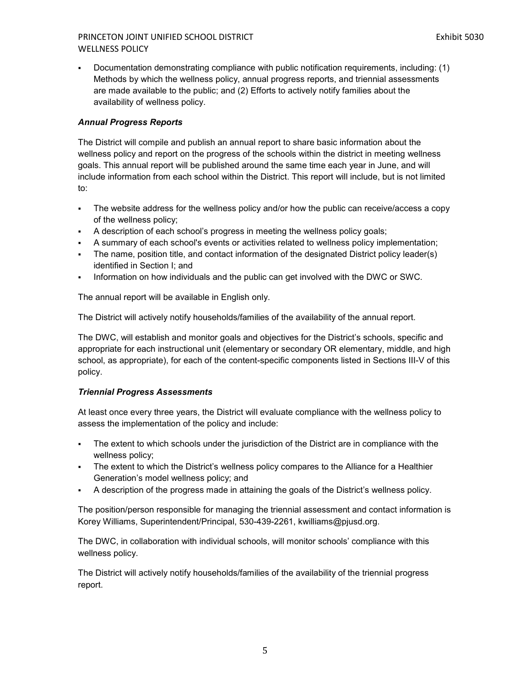Documentation demonstrating compliance with public notification requirements, including: (1) Methods by which the wellness policy, annual progress reports, and triennial assessments are made available to the public; and (2) Efforts to actively notify families about the availability of wellness policy.

# *Annual Progress Reports*

The District will compile and publish an annual report to share basic information about the wellness policy and report on the progress of the schools within the district in meeting wellness goals. This annual report will be published around the same time each year in June, and will include information from each school within the District. This report will include, but is not limited to:

- The website address for the wellness policy and/or how the public can receive/access a copy of the wellness policy;
- A description of each school's progress in meeting the wellness policy goals;
- A summary of each school's events or activities related to wellness policy implementation;
- The name, position title, and contact information of the designated District policy leader(s) identified in Section I; and
- Information on how individuals and the public can get involved with the DWC or SWC.

The annual report will be available in English only.

The District will actively notify households/families of the availability of the annual report.

The DWC, will establish and monitor goals and objectives for the District's schools, specific and appropriate for each instructional unit (elementary or secondary OR elementary, middle, and high school, as appropriate), for each of the content-specific components listed in Sections III-V of this policy.

# *Triennial Progress Assessments*

At least once every three years, the District will evaluate compliance with the wellness policy to assess the implementation of the policy and include:

- The extent to which schools under the jurisdiction of the District are in compliance with the wellness policy;
- The extent to which the District's wellness policy compares to the Alliance for a Healthier Generation's model wellness policy; and
- A description of the progress made in attaining the goals of the District's wellness policy.

The position/person responsible for managing the triennial assessment and contact information is Korey Williams, Superintendent/Principal, 530-439-2261, kwilliams@pjusd.org.

The DWC, in collaboration with individual schools, will monitor schools' compliance with this wellness policy.

The District will actively notify households/families of the availability of the triennial progress report.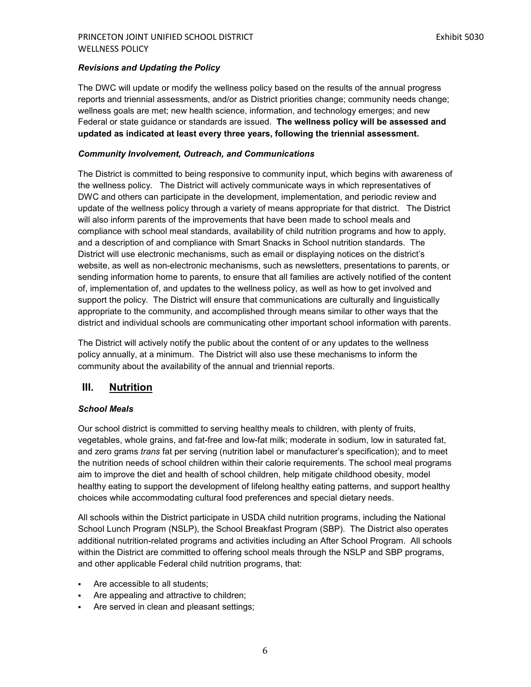#### *Revisions and Updating the Policy*

The DWC will update or modify the wellness policy based on the results of the annual progress reports and triennial assessments, and/or as District priorities change; community needs change; wellness goals are met; new health science, information, and technology emerges; and new Federal or state guidance or standards are issued. **The wellness policy will be assessed and updated as indicated at least every three years, following the triennial assessment.**

#### *Community Involvement, Outreach, and Communications*

The District is committed to being responsive to community input, which begins with awareness of the wellness policy. The District will actively communicate ways in which representatives of DWC and others can participate in the development, implementation, and periodic review and update of the wellness policy through a variety of means appropriate for that district. The District will also inform parents of the improvements that have been made to school meals and compliance with school meal standards, availability of child nutrition programs and how to apply, and a description of and compliance with Smart Snacks in School nutrition standards. The District will use electronic mechanisms, such as email or displaying notices on the district's website, as well as non-electronic mechanisms, such as newsletters, presentations to parents, or sending information home to parents, to ensure that all families are actively notified of the content of, implementation of, and updates to the wellness policy, as well as how to get involved and support the policy. The District will ensure that communications are culturally and linguistically appropriate to the community, and accomplished through means similar to other ways that the district and individual schools are communicating other important school information with parents.

The District will actively notify the public about the content of or any updates to the wellness policy annually, at a minimum. The District will also use these mechanisms to inform the community about the availability of the annual and triennial reports.

# <span id="page-6-0"></span>**III. Nutrition**

#### *School Meals*

Our school district is committed to serving healthy meals to children, with plenty of fruits, vegetables, whole grains, and fat-free and low-fat milk; moderate in sodium, low in saturated fat, and zero grams *trans* fat per serving (nutrition label or manufacturer's specification); and to meet the nutrition needs of school children within their calorie requirements. The school meal programs aim to improve the diet and health of school children, help mitigate childhood obesity, model healthy eating to support the development of lifelong healthy eating patterns, and support healthy choices while accommodating cultural food preferences and special dietary needs.

All schools within the District participate in USDA child nutrition programs, including the National School Lunch Program (NSLP), the School Breakfast Program (SBP). The District also operates additional nutrition-related programs and activities including an After School Program. All schools within the District are committed to offering school meals through the NSLP and SBP programs, and other applicable Federal child nutrition programs, that:

- Are accessible to all students;
- Are appealing and attractive to children;
- Are served in clean and pleasant settings;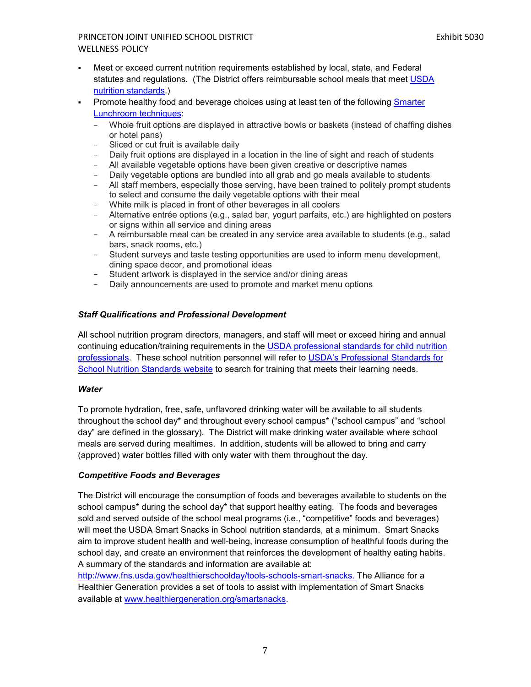- Meet or exceed current nutrition requirements established by local, state, and Federal statutes and regulations. (The District offers reimbursable school meals that meet [USDA](http://www.fns.usda.gov/school-meals/nutrition-standards-school-meals)  [nutrition standards.\)](http://www.fns.usda.gov/school-meals/nutrition-standards-school-meals)
- Promote healthy food and beverage choices using at least ten of the following [Smarter](http://smarterlunchrooms.org/ideas)  [Lunchroom techniques:](http://smarterlunchrooms.org/ideas)
	- − Whole fruit options are displayed in attractive bowls or baskets (instead of chaffing dishes or hotel pans)
	- − Sliced or cut fruit is available daily
	- − Daily fruit options are displayed in a location in the line of sight and reach of students
	- − All available vegetable options have been given creative or descriptive names
	- − Daily vegetable options are bundled into all grab and go meals available to students
	- − All staff members, especially those serving, have been trained to politely prompt students to select and consume the daily vegetable options with their meal
	- − White milk is placed in front of other beverages in all coolers
	- − Alternative entrée options (e.g., salad bar, yogurt parfaits, etc.) are highlighted on posters or signs within all service and dining areas
	- − A reimbursable meal can be created in any service area available to students (e.g., salad bars, snack rooms, etc.)
	- − Student surveys and taste testing opportunities are used to inform menu development, dining space decor, and promotional ideas
	- Student artwork is displayed in the service and/or dining areas
	- − Daily announcements are used to promote and market menu options

# *Staff Qualifications and Professional Development*

All school nutrition program directors, managers, and staff will meet or exceed hiring and annual continuing education/training requirements in the [USDA professional standards for child nutrition](http://www.fns.usda.gov/sites/default/files/CN2014-0130.pdf)  [professionals.](http://www.fns.usda.gov/sites/default/files/CN2014-0130.pdf) These school nutrition personnel will refer to [USDA's Professional Standards for](http://professionalstandards.nal.usda.gov/)  [School Nutrition Standards website](http://professionalstandards.nal.usda.gov/) to search for training that meets their learning needs.

#### *Water*

To promote hydration, free, safe, unflavored drinking water will be available to all students throughout the school day\* and throughout every school campus\* ("school campus" and "school day" are defined in the glossary). The District will make drinking water available where school meals are served during mealtimes. In addition, students will be allowed to bring and carry (approved) water bottles filled with only water with them throughout the day.

#### *Competitive Foods and Beverages*

The District will encourage the consumption of foods and beverages available to students on the school campus<sup>\*</sup> during the school day<sup>\*</sup> that support healthy eating. The foods and beverages sold and served outside of the school meal programs (i.e., "competitive" foods and beverages) will meet the USDA Smart Snacks in School nutrition standards, at a minimum. Smart Snacks aim to improve student health and well-being, increase consumption of healthful foods during the school day, and create an environment that reinforces the development of healthy eating habits. A summary of the standards and information are available at:

[http://www.fns.usda.gov/healthierschoolday/tools-schools-smart-snacks.](http://www.fns.usda.gov/healthierschoolday/tools-schools-smart-snacks) The Alliance for a Healthier Generation provides a set of tools to assist with implementation of Smart Snacks available at [www.healthiergeneration.org/smartsnacks.](http://www.healthiergeneration.org/smartsnacks)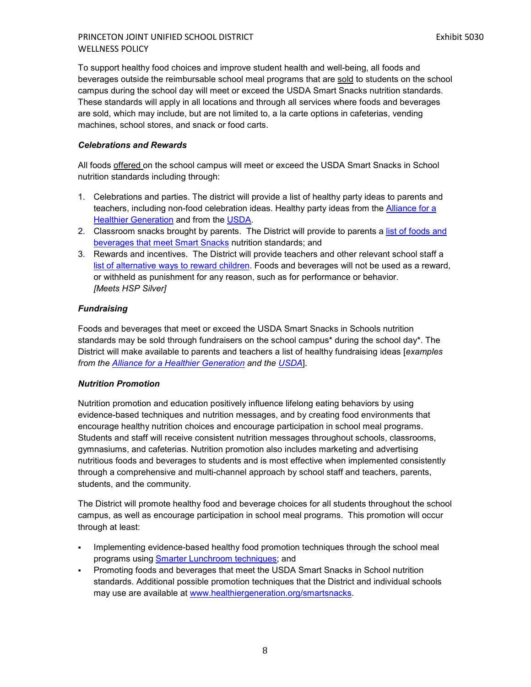To support healthy food choices and improve student health and well-being, all foods and beverages outside the reimbursable school meal programs that are sold to students on the school campus during the school day will meet or exceed the USDA Smart Snacks nutrition standards. These standards will apply in all locations and through all services where foods and beverages are sold, which may include, but are not limited to, a la carte options in cafeterias, vending machines, school stores, and snack or food carts.

#### *Celebrations and Rewards*

All foods offered on the school campus will meet or exceed the USDA Smart Snacks in School nutrition standards including through:

- 1. Celebrations and parties. The district will provide a list of healthy party ideas to parents and teachers, including non-food celebration ideas. Healthy party ideas from the [Alliance for a](https://www.healthiergeneration.org/take_action/schools/snacks_and_beverages/celebrations/)  [Healthier Generation](https://www.healthiergeneration.org/take_action/schools/snacks_and_beverages/celebrations/) and from the [USDA.](http://healthymeals.nal.usda.gov/local-wellness-policy-resources/wellness-policy-elements/healthy-celebrations)
- 2. Classroom snacks brought by parents. The District will provide to parents a list of foods and beverages [that meet Smart Snacks](https://www.healthiergeneration.org/live_healthier/eat_healthier/alliance_product_navigator/browse_products/?product_category_id=720) nutrition standards; and
- 3. Rewards and incentives. The District will provide teachers and other relevant school staff a [list of alternative ways to reward children.](https://www.healthiergeneration.org/take_action/schools/snacks_and_beverages/non-food_rewards/) Foods and beverages will not be used as a reward, or withheld as punishment for any reason, such as for performance or behavior. *[Meets HSP Silver]*

#### *Fundraising*

Foods and beverages that meet or exceed the USDA Smart Snacks in Schools nutrition standards may be sold through fundraisers on the school campus\* during the school day\*. The District will make available to parents and teachers a list of healthy fundraising ideas [*examples from the [Alliance for a Healthier Generation](https://www.healthiergeneration.org/take_action/schools/snacks_and_beverages/fundraisers/) and the [USDA](http://healthymeals.nal.usda.gov/local-wellness-policy-resources/wellness-policy-elements/healthy-fundraising)*].

#### *Nutrition Promotion*

Nutrition promotion and education positively influence lifelong eating behaviors by using evidence-based techniques and nutrition messages, and by creating food environments that encourage healthy nutrition choices and encourage participation in school meal programs. Students and staff will receive consistent nutrition messages throughout schools, classrooms, gymnasiums, and cafeterias. Nutrition promotion also includes marketing and advertising nutritious foods and beverages to students and is most effective when implemented consistently through a comprehensive and multi-channel approach by school staff and teachers, parents, students, and the community.

The District will promote healthy food and beverage choices for all students throughout the school campus, as well as encourage participation in school meal programs. This promotion will occur through at least:

- Implementing evidence-based healthy food promotion techniques through the school meal programs using **Smarter Lunchroom techniques**; and
- Promoting foods and beverages that meet the USDA Smart Snacks in School nutrition standards. Additional possible promotion techniques that the District and individual schools may use are available at [www.healthiergeneration.org/smartsnacks.](http://www.healthiergeneration.org/smartsnacks)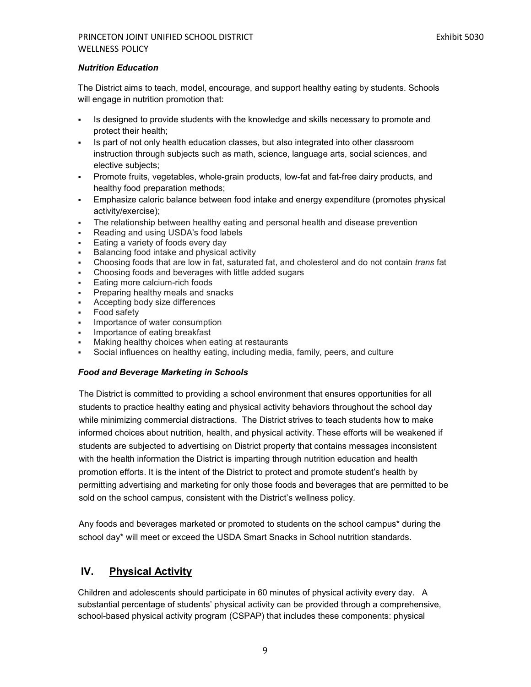# *Nutrition Education*

The District aims to teach, model, encourage, and support healthy eating by students. Schools will engage in nutrition promotion that:

- Is designed to provide students with the knowledge and skills necessary to promote and protect their health;
- Is part of not only health education classes, but also integrated into other classroom instruction through subjects such as math, science, language arts, social sciences, and elective subjects;
- Promote fruits, vegetables, whole-grain products, low-fat and fat-free dairy products, and healthy food preparation methods;
- Emphasize caloric balance between food intake and energy expenditure (promotes physical activity/exercise);
- The relationship between healthy eating and personal health and disease prevention
- Reading and using USDA's food labels
- Eating a variety of foods every day
- Balancing food intake and physical activity
- Choosing foods that are low in fat, saturated fat, and cholesterol and do not contain *trans* fat
- Choosing foods and beverages with little added sugars
- Eating more calcium-rich foods
- Preparing healthy meals and snacks
- Accepting body size differences
- **Food safety**
- Importance of water consumption
- Importance of eating breakfast
- Making healthy choices when eating at restaurants
- Social influences on healthy eating, including media, family, peers, and culture

#### *Food and Beverage Marketing in Schools*

The District is committed to providing a school environment that ensures opportunities for all students to practice healthy eating and physical activity behaviors throughout the school day while minimizing commercial distractions. The District strives to teach students how to make informed choices about nutrition, health, and physical activity. These efforts will be weakened if students are subjected to advertising on District property that contains messages inconsistent with the health information the District is imparting through nutrition education and health promotion efforts. It is the intent of the District to protect and promote student's health by permitting advertising and marketing for only those foods and beverages that are permitted to be sold on the school campus, consistent with the District's wellness policy.

Any foods and beverages marketed or promoted to students on the school campus\* during the school day\* will meet or exceed the USDA Smart Snacks in School nutrition standards.

# <span id="page-9-0"></span>**IV. Physical Activity**

Children and adolescents should participate in 60 minutes of physical activity every day. A substantial percentage of students' physical activity can be provided through a comprehensive, school-based physical activity program (CSPAP) that includes these components: physical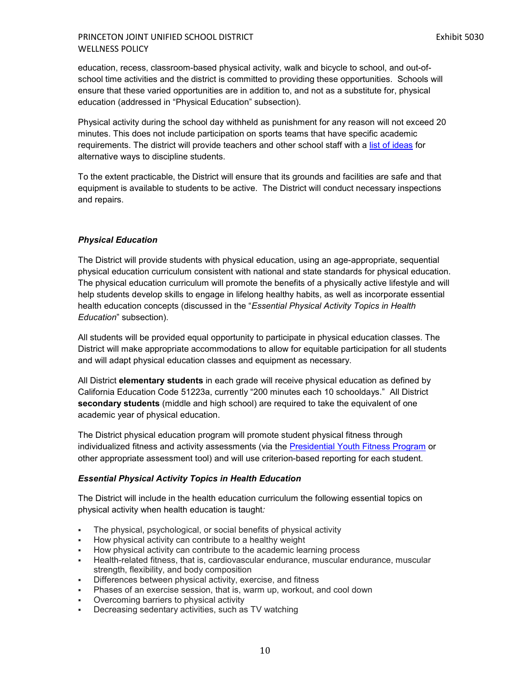education, recess, classroom-based physical activity, walk and bicycle to school, and out-ofschool time activities and the district is committed to providing these opportunities. Schools will ensure that these varied opportunities are in addition to, and not as a substitute for, physical education (addressed in "Physical Education" subsection).

Physical activity during the school day withheld as punishment for any reason will not exceed 20 minutes. This does not include participation on sports teams that have specific academic requirements. The district will provide teachers and other school staff with a [list of ideas](http://cspinet.org/new/pdf/constructive_classroom_rewards.pdf) for alternative ways to discipline students.

To the extent practicable, the District will ensure that its grounds and facilities are safe and that equipment is available to students to be active. The District will conduct necessary inspections and repairs.

## *Physical Education*

The District will provide students with physical education, using an age-appropriate, sequential physical education curriculum consistent with national and state standards for physical education. The physical education curriculum will promote the benefits of a physically active lifestyle and will help students develop skills to engage in lifelong healthy habits, as well as incorporate essential health education concepts (discussed in the "*Essential Physical Activity Topics in Health Education*" subsection).

All students will be provided equal opportunity to participate in physical education classes. The District will make appropriate accommodations to allow for equitable participation for all students and will adapt physical education classes and equipment as necessary.

All District **elementary students** in each grade will receive physical education as defined by California Education Code 51223a, currently "200 minutes each 10 schooldays." All District **secondary students** (middle and high school) are required to take the equivalent of one academic year of physical education.

The District physical education program will promote student physical fitness through individualized fitness and activity assessments (via the [Presidential Youth Fitness Program](http://www.pyfp.org/) or other appropriate assessment tool) and will use criterion-based reporting for each student.

#### *Essential Physical Activity Topics in Health Education*

The District will include in the health education curriculum the following essential topics on physical activity when health education is taught*:*

- The physical, psychological, or social benefits of physical activity
- How physical activity can contribute to a healthy weight
- How physical activity can contribute to the academic learning process
- Health-related fitness, that is, cardiovascular endurance, muscular endurance, muscular strength, flexibility, and body composition
- **Differences between physical activity, exercise, and fitness**
- Phases of an exercise session, that is, warm up, workout, and cool down
- Overcoming barriers to physical activity
- Decreasing sedentary activities, such as TV watching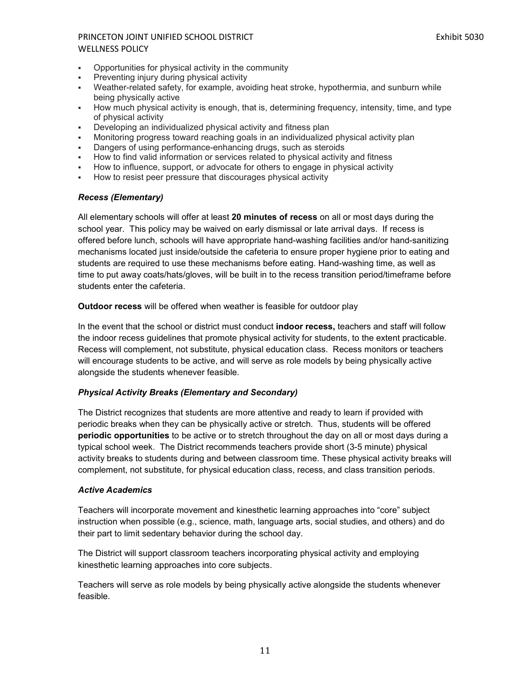- Opportunities for physical activity in the community
- Preventing injury during physical activity
- Weather-related safety, for example, avoiding heat stroke, hypothermia, and sunburn while being physically active
- How much physical activity is enough, that is, determining frequency, intensity, time, and type of physical activity
- Developing an individualized physical activity and fitness plan
- Monitoring progress toward reaching goals in an individualized physical activity plan
- Dangers of using performance-enhancing drugs, such as steroids
- How to find valid information or services related to physical activity and fitness
- How to influence, support, or advocate for others to engage in physical activity
- How to resist peer pressure that discourages physical activity

#### *Recess (Elementary)*

All elementary schools will offer at least **20 minutes of recess** on all or most days during the school year. This policy may be waived on early dismissal or late arrival days. If recess is offered before lunch, schools will have appropriate hand-washing facilities and/or hand-sanitizing mechanisms located just inside/outside the cafeteria to ensure proper hygiene prior to eating and students are required to use these mechanisms before eating. Hand-washing time, as well as time to put away coats/hats/gloves, will be built in to the recess transition period/timeframe before students enter the cafeteria.

**Outdoor recess** will be offered when weather is feasible for outdoor play

In the event that the school or district must conduct **indoor recess,** teachers and staff will follow the indoor recess guidelines that promote physical activity for students, to the extent practicable. Recess will complement, not substitute, physical education class. Recess monitors or teachers will encourage students to be active, and will serve as role models by being physically active alongside the students whenever feasible.

#### *Physical Activity Breaks (Elementary and Secondary)*

The District recognizes that students are more attentive and ready to learn if provided with periodic breaks when they can be physically active or stretch. Thus, students will be offered **periodic opportunities** to be active or to stretch throughout the day on all or most days during a typical school week. The District recommends teachers provide short (3-5 minute) physical activity breaks to students during and between classroom time. These physical activity breaks will complement, not substitute, for physical education class, recess, and class transition periods.

#### *Active Academics*

Teachers will incorporate movement and kinesthetic learning approaches into "core" subject instruction when possible (e.g., science, math, language arts, social studies, and others) and do their part to limit sedentary behavior during the school day.

The District will support classroom teachers incorporating physical activity and employing kinesthetic learning approaches into core subjects.

Teachers will serve as role models by being physically active alongside the students whenever feasible.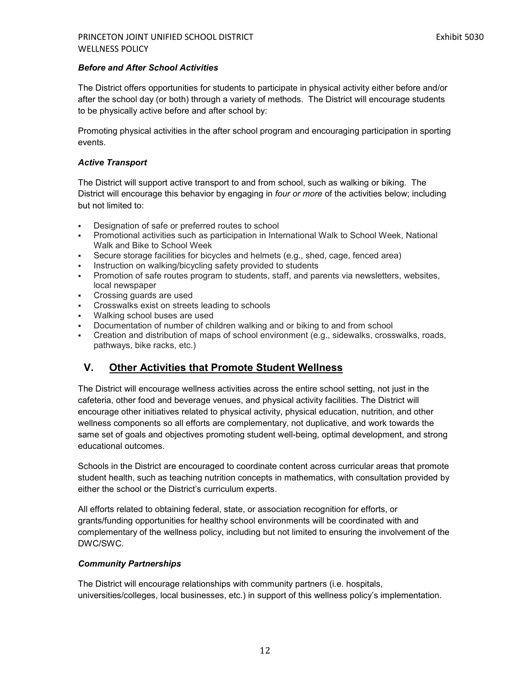#### *Before and After School Activities*

The District offers opportunities for students to participate in physical activity either before and/or after the school day (or both) through a variety of methods. The District will encourage students to be physically active before and after school by:

Promoting physical activities in the after school program and encouraging participation in sporting events.

#### *Active Transport*

The District will support active transport to and from school, such as walking or biking. The District will encourage this behavior by engaging in *four or more* of the activities below; including but not limited to:

- Designation of safe or preferred routes to school
- Promotional activities such as participation in International Walk to School Week, National Walk and Bike to School Week
- Secure storage facilities for bicycles and helmets (e.g., shed, cage, fenced area)
- **Instruction on walking/bicycling safety provided to students**
- Promotion of safe routes program to students, staff, and parents via newsletters, websites, local newspaper
- Crossing guards are used
- **Crosswalks exist on streets leading to schools**
- Walking school buses are used
- Documentation of number of children walking and or biking to and from school
- Creation and distribution of maps of school environment (e.g., sidewalks, crosswalks, roads, pathways, bike racks, etc.)

# <span id="page-12-0"></span>**V. Other Activities that Promote Student Wellness**

The District will encourage wellness activities across the entire school setting, not just in the cafeteria, other food and beverage venues, and physical activity facilities. The District will encourage other initiatives related to physical activity, physical education, nutrition, and other wellness components so all efforts are complementary, not duplicative, and work towards the same set of goals and objectives promoting student well-being, optimal development, and strong educational outcomes.

Schools in the District are encouraged to coordinate content across curricular areas that promote student health, such as teaching nutrition concepts in mathematics, with consultation provided by either the school or the District's curriculum experts.

All efforts related to obtaining federal, state, or association recognition for efforts, or grants/funding opportunities for healthy school environments will be coordinated with and complementary of the wellness policy, including but not limited to ensuring the involvement of the DWC/SWC.

#### *Community Partnerships*

The District will encourage relationships with community partners (i.e. hospitals, universities/colleges, local businesses, etc.) in support of this wellness policy's implementation.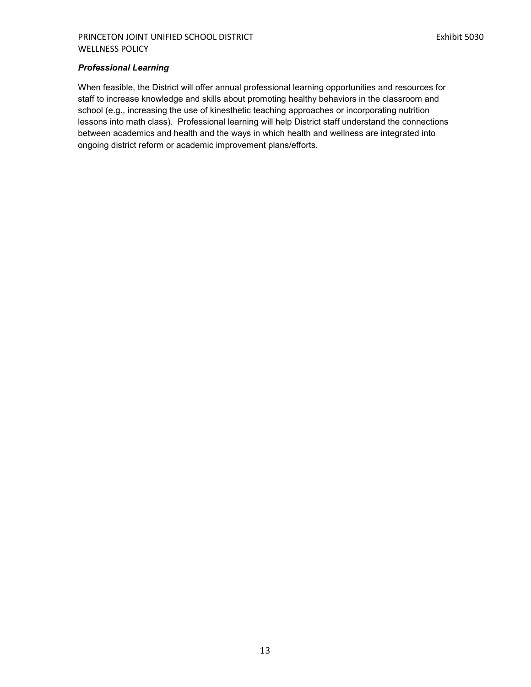#### *Professional Learning*

When feasible, the District will offer annual professional learning opportunities and resources for staff to increase knowledge and skills about promoting healthy behaviors in the classroom and school (e.g., increasing the use of kinesthetic teaching approaches or incorporating nutrition lessons into math class). Professional learning will help District staff understand the connections between academics and health and the ways in which health and wellness are integrated into ongoing district reform or academic improvement plans/efforts.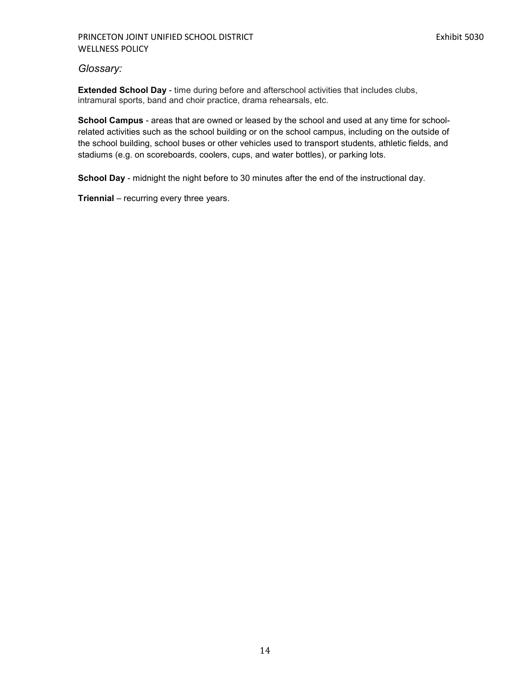#### PRINCETON JOINT UNIFIED SCHOOL DISTRICT **EXHIBIT EXAMPLE 2008** Exhibit 5030 WELLNESS POLICY

# <span id="page-14-0"></span>*Glossary:*

**Extended School Day** - time during before and afterschool activities that includes clubs, intramural sports, band and choir practice, drama rehearsals, etc.

**School Campus** - areas that are owned or leased by the school and used at any time for schoolrelated activities such as the school building or on the school campus, including on the outside of the school building, school buses or other vehicles used to transport students, athletic fields, and stadiums (e.g. on scoreboards, coolers, cups, and water bottles), or parking lots.

**School Day** - midnight the night before to 30 minutes after the end of the instructional day.

**Triennial** – recurring every three years.